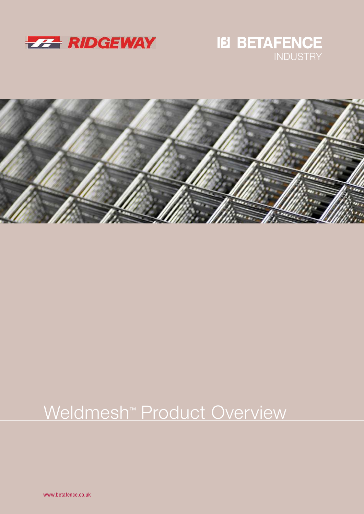

# **IB BETAFENCE**



## Weldmesh<sup>™</sup> Product Overview

www.betafence.co.uk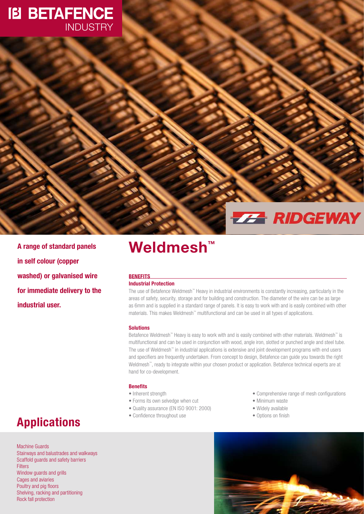### **IB BETAFENCE INDUSTRY**

## **ZZA RIDGEWAY**

in self colour (copper washed) or galvanised wire for immediate delivery to the industrial user.

### A range of standard panels Weldmesh<sup>™</sup>

#### **BENEFITS**

#### Industrial Protection

The use of Betafence Weldmesh™ Heavy in industrial environments is constantly increasing, particularly in the areas of safety, security, storage and for building and construction. The diameter of the wire can be as large as 6mm and is supplied in a standard range of panels. It is easy to work with and is easily combined with other materials. This makes Weldmesh<sup>™</sup> multifunctional and can be used in all types of applications.

#### Solutions

Betafence Weldmesh™ Heavy is easy to work with and is easily combined with other materials. Weldmesh™ is multifunctional and can be used in conjunction with wood, angle iron, slotted or punched angle and steel tube. The use of Weldmesh<sup>™</sup> in industrial applications is extensive and joint development programs with end users and specifiers are frequently undertaken. From concept to design, Betafence can guide you towards the right Weldmesh™ , ready to integrate within your chosen product or application. Betafence technical experts are at hand for co-development.

#### Benefits

- Inherent strength
- Forms its own selvedge when cut
- Quality assurance (EN ISO 9001: 2000)
- Confidence throughout use
- Comprehensive range of mesh configurations
- Minimum waste
- Widely available
- Options on finish



Machine Guards Stairways and balustrades and walkways Scaffold guards and safety barriers **Filters** Window guards and grills Cages and aviaries Poultry and pig floors Shelving, racking and partitioning Rock fall protection

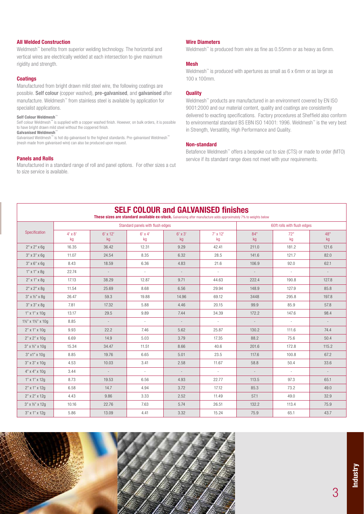#### All Welded Construction

Weldmesh™ benefits from superior welding technology. The horizontal and vertical wires are electrically welded at each intersection to give maximum rigidity and strength.

#### **Coatings**

Manufactured from bright drawn mild steel wire, the following coatings are possible. Self colour (copper washed), pre-galvanised, and galvanised after manufacture. Weldmesh™ from stainless steel is available by application for specialist applications.

#### Self Colour Weldmesh™

Self colour Weldmesh<sup>™</sup> is supplied with a copper washed finish. However, on bulk orders, it is possible to have bright drawn mild steel without the coppered finish.

Galvanised Weldmesh™

Galvanised Weldmesh™ is hot dip galvanised to the highest standards. Pre-galvanised Weldmesh™ (mesh made from galvanised wire) can also be produced upon request.

#### Panels and Rolls

Manufactured in a standard range of roll and panel options. For other sizes a cut to size service is available.

#### Wire Diameters

Weldmesh<sup>™</sup> is produced from wire as fine as 0.55mm or as heavy as 6mm.

#### Mesh

Weldmesh<sup>™</sup> is produced with apertures as small as 6 x 6mm or as large as 100 x 100mm.

#### **Quality**

Weldmesh™ products are manufactured in an environment covered by EN ISO 9001:2000 and our material content, quality and coatings are consistently delivered to exacting specifications. Factory procedures at Sheffield also conform to environmental standard BS EBN ISO 14001: 1996. Weldmesh™ is the very best in Strength, Versatility, High Performance and Quality.

#### Non-standard

Betafence Weldmesh™ offers a bespoke cut to size (CTS) or made to order (MTO) service if its standard range does not meet with your requirements.

| <b>SELF COLOUR and GALVANISED finishes</b><br>These sizes are standard available ex-stock. Galvanising after manufacture adds approximately 7% to weights below |                                  |                               |                 |                      |                       |                             |               |           |
|-----------------------------------------------------------------------------------------------------------------------------------------------------------------|----------------------------------|-------------------------------|-----------------|----------------------|-----------------------|-----------------------------|---------------|-----------|
| Specification                                                                                                                                                   | Standard panels with flush edges |                               |                 |                      |                       | 60ft rolls with flush edges |               |           |
|                                                                                                                                                                 | $4' \times 8'$<br>kg             | $6'$ x 12'<br>kg <sub>1</sub> | $6'$ x 4'<br>kg | $6' \times 3'$<br>kg | $7' \times 12'$<br>kg | 84"<br>kg <sub>1</sub>      | 72"<br>kg     | 48"<br>kg |
| $2"$ x $2"$ x 6g                                                                                                                                                | 16.35                            | 36.42                         | 12.31           | 9.29                 | 42.41                 | 211.0                       | 181.2         | 121.6     |
| $3" \times 3" \times 6q$                                                                                                                                        | 11.07                            | 24.54                         | 8.35            | 6.32                 | 28.5                  | 141.6                       | 121.7         | 82.0      |
| $3" \times 6" \times 69$                                                                                                                                        | 8.43                             | 18.59                         | 6.36            | 4.83                 | 21.6                  | 106.9                       | 92.0          | 62.1      |
| $1"$ x $1"$ x $8q$                                                                                                                                              | 22.74                            | $\mathcal{L}^{\pm}$           | $\sim$          | $\sim$               | $\sim$                | $\sim$                      | $\sim$        | $\sim$    |
| $2"$ x 1" x 8g                                                                                                                                                  | 17.13                            | 38.29                         | 12.87           | 9.71                 | 44.63                 | 222.4                       | 190.8         | 127.8     |
| $2"$ x $2"$ x $8g$                                                                                                                                              | 11.54                            | 25.69                         | 8.68            | 6.56                 | 29.94                 | 148.9                       | 127.9         | 85.8      |
| $3" \times 12" \times 89$                                                                                                                                       | 26.47                            | 59.3                          | 19.88           | 14.96                | 69.12                 | 3448                        | 295.8         | 197.8     |
| $3" \times 3" \times 89$                                                                                                                                        | 7.81                             | 17.32                         | 5.88            | 4.46                 | 20.15                 | 99.9                        | 85.9          | 57.8      |
| $1"$ x $1"$ x $10q$                                                                                                                                             | 13.17                            | 29.5                          | 9.89            | 7.44                 | 34.39                 | 172.2                       | 147.6         | 98.4      |
| 11/2" x 11/2" x 10g                                                                                                                                             | 8.85                             | $\sim$                        | $\sim$          | $\sim$               | $\sim$                | $\sim$                      | $\sim$        | $\sim$    |
| $2"$ x 1" x 10g                                                                                                                                                 | 9.93                             | 22.2                          | 7.46            | 5.62                 | 25.87                 | 130.2                       | 111.6         | 74.4      |
| $2"$ x $2"$ x $10g$                                                                                                                                             | 6.69                             | 14.9                          | 5.03            | 3.79                 | 17.35                 | 88.2                        | 75.6          | 50.4      |
| $3"$ x 1/2" x 10q                                                                                                                                               | 15.34                            | 34.47                         | 11.51           | 8.66                 | 40.6                  | 201.6                       | 172.8         | 115.2     |
| 3" x1" x 10q                                                                                                                                                    | 8.85                             | 19.76                         | 6.65            | 5.01                 | 23.5                  | 117.6                       | 100.8         | 67.2      |
| $3" \times 3" \times 10g$                                                                                                                                       | 4.53                             | 10.03                         | 3.41            | 2.58                 | 11.67                 | 58.8                        | 50.4          | 33.6      |
| $4" \times 4" \times 10q$                                                                                                                                       | 3.44                             |                               | $\omega$        | $\mathcal{L}$        | $\sim$                |                             | $\mathcal{L}$ |           |
| 1" x 1" x 12g                                                                                                                                                   | 8.73                             | 19.53                         | 6.56            | 4.93                 | 22.77                 | 113.5                       | 97.3          | 65.1      |
| 2" x 1" x 12q                                                                                                                                                   | 6.58                             | 14.7                          | 4.94            | 3.72                 | 17.12                 | 85.3                        | 73.2          | 49.0      |
| $2"$ x $2"$ x $12g$                                                                                                                                             | 4.43                             | 9.86                          | 3.33            | 2.52                 | 11.49                 | 57.1                        | 49.0          | 32.9      |
| $3"$ x 1/2" x 12q                                                                                                                                               | 10.16                            | 22.76                         | 7.63            | 5.74                 | 26.51                 | 132.2                       | 113.4         | 75.9      |
| 3" x 1" x 12q                                                                                                                                                   | 5.86                             | 13.09                         | 4.41            | 3.32                 | 15.24                 | 75.9                        | 65.1          | 43.7      |